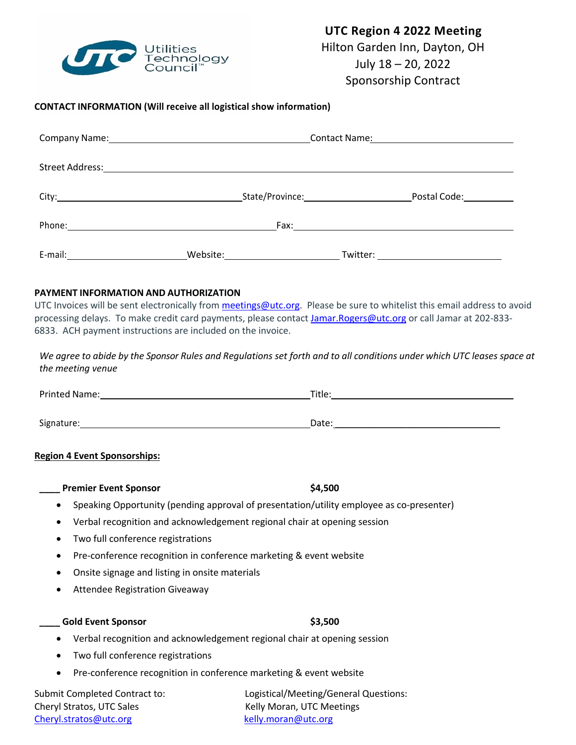

# **UTC Region 4 2022 Meeting** Hilton Garden Inn, Dayton, OH July 18 – 20, 2022

Sponsorship Contract

## **CONTACT INFORMATION (Will receive all logistical show information)**

|         |                                                                                                                                                                                                                               | Postal Code: 1997                |  |
|---------|-------------------------------------------------------------------------------------------------------------------------------------------------------------------------------------------------------------------------------|----------------------------------|--|
|         |                                                                                                                                                                                                                               |                                  |  |
| E-mail: | Website: when the contract of the contract of the contract of the contract of the contract of the contract of the contract of the contract of the contract of the contract of the contract of the contract of the contract of | Twitter: _______________________ |  |

### **PAYMENT INFORMATION AND AUTHORIZATION**

UTC Invoices will be sent electronically from meetings@utc.org. Please be sure to whitelist this email address to avoid processing delays. To make credit card payments, please contact Jamar.Rogers@utc.org or call Jamar at 202-833- 6833. ACH payment instructions are included on the invoice.

We agree to abide by the Sponsor Rules and Regulations set forth and to all conditions under which UTC leases space at *the meeting venue*

Printed Name: Title: Title: Title: Title: Title: Title: Title: Title: Title: Title: Title: Title: Title: Title: Title: Title: Title: Title: Title: Title: Title: Title: Title: Title: Title: Title: Title: Title: Title: Title Signature: Date: \_\_\_\_\_\_\_\_\_\_\_\_\_\_\_\_\_\_\_\_\_\_\_\_\_\_\_\_\_\_\_\_

### **Region 4 Event Sponsorships:**

| <b>Premier Event Sponsor</b> | \$4.500                                                                                  |
|------------------------------|------------------------------------------------------------------------------------------|
|                              | Speaking Opportunity (pending approval of presentation/utility employee as co-presenter) |

- Verbal recognition and acknowledgement regional chair at opening session
- Two full conference registrations
- Pre-conference recognition in conference marketing & event website
- Onsite signage and listing in onsite materials
- Attendee Registration Giveaway

### **\_\_\_\_ Gold Event Sponsor \$3,500**

- Verbal recognition and acknowledgement regional chair at opening session
- Two full conference registrations
- Pre-conference recognition in conference marketing & event website

Cheryl Stratos, UTC Sales Kelly Moran, UTC Meetings Cheryl.stratos@utc.org kelly.moran@utc.org

Submit Completed Contract to: Logistical/Meeting/General Questions: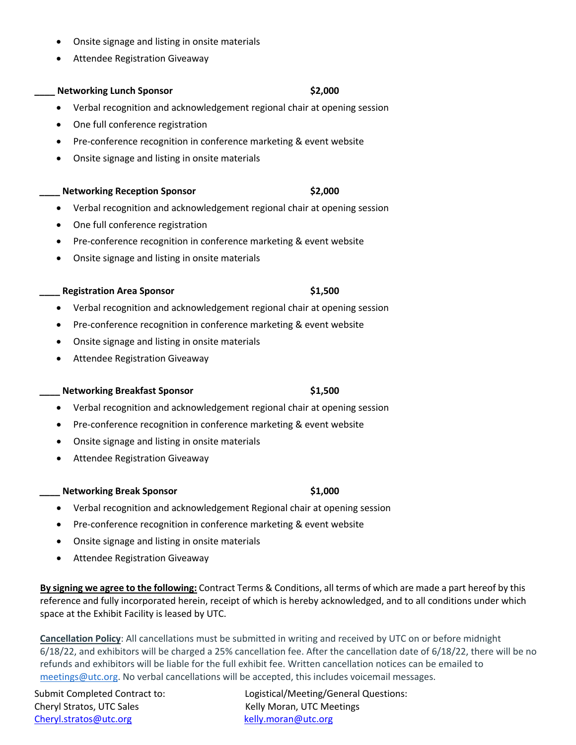- Onsite signage and listing in onsite materials
- Attendee Registration Giveaway

## **\_\_\_\_ Networking Lunch Sponsor \$2,000**

- Verbal recognition and acknowledgement regional chair at opening session
- One full conference registration
- Pre-conference recognition in conference marketing & event website
- Onsite signage and listing in onsite materials

### **\_\_\_\_ Networking Reception Sponsor \$2,000**

- Verbal recognition and acknowledgement regional chair at opening session
- One full conference registration
- Pre-conference recognition in conference marketing & event website
- Onsite signage and listing in onsite materials

### **\_\_\_\_ Registration Area Sponsor \$1,500**

- Verbal recognition and acknowledgement regional chair at opening session
- Pre-conference recognition in conference marketing & event website
- Onsite signage and listing in onsite materials
- Attendee Registration Giveaway

### **Networking Breakfast Sponsor 61,500**

- Verbal recognition and acknowledgement regional chair at opening session
- Pre-conference recognition in conference marketing & event website
- Onsite signage and listing in onsite materials
- Attendee Registration Giveaway

### **Metworking Break Sponsor \$1,000**

- Verbal recognition and acknowledgement Regional chair at opening session
- Pre-conference recognition in conference marketing & event website
- Onsite signage and listing in onsite materials
- Attendee Registration Giveaway

**By signing we agree to the following:** Contract Terms & Conditions, all terms of which are made a part hereof by this reference and fully incorporated herein, receipt of which is hereby acknowledged, and to all conditions under which space at the Exhibit Facility is leased by UTC.

**Cancellation Policy**: All cancellations must be submitted in writing and received by UTC on or before midnight 6/18/22, and exhibitors will be charged a 25% cancellation fee. After the cancellation date of 6/18/22, there will be no refunds and exhibitors will be liable for the full exhibit fee. Written cancellation notices can be emailed to meetings@utc.org. No verbal cancellations will be accepted, this includes voicemail messages.

Cheryl Stratos, UTC Sales Kelly Moran, UTC Meetings Cheryl.stratos@utc.org kelly.moran@utc.org

Submit Completed Contract to: Logistical/Meeting/General Questions: